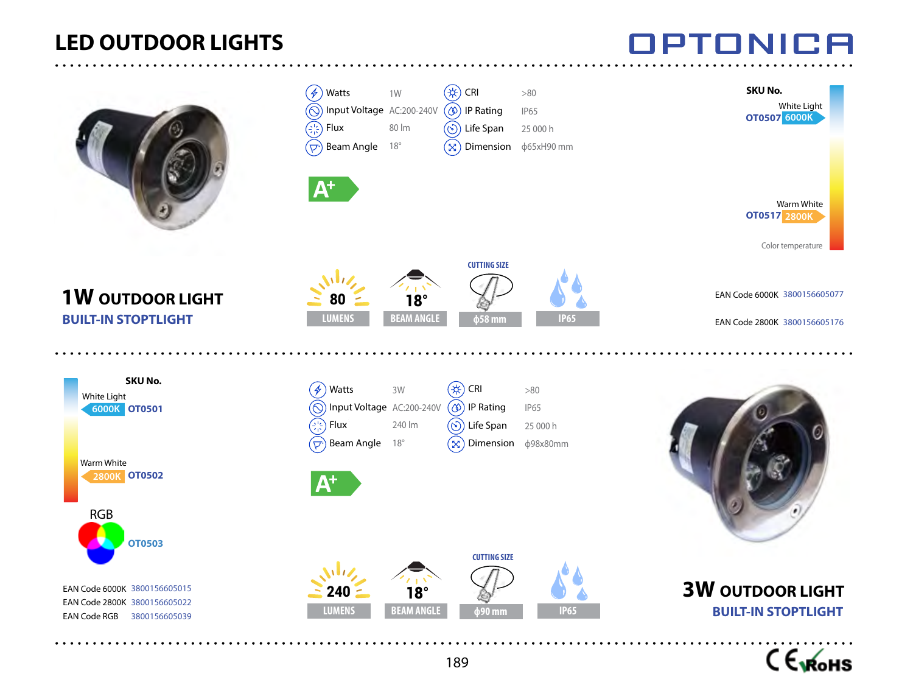## **LED OUTDOOR LIGHTS**





- 8

## INNI